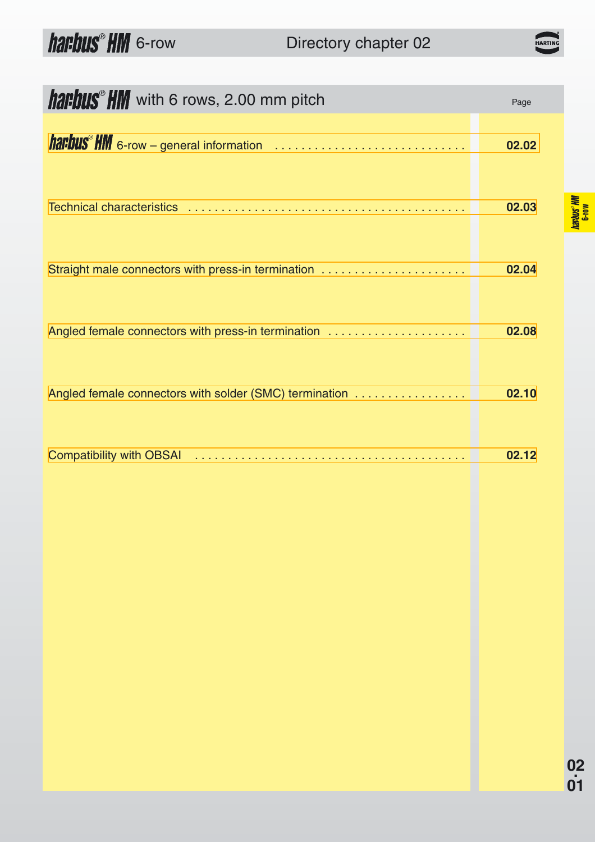### Directory chapter 02

| <b>harbus</b> HM with 6 rows, 2.00 mm pitch              | Page  |
|----------------------------------------------------------|-------|
| <b>harbus<sup>®</sup> HM</b> 6-row – general information | 02.02 |
|                                                          | 02.03 |
| Straight male connectors with press-in termination       | 02.04 |
| Angled female connectors with press-in termination       | 02.08 |
| Angled female connectors with solder (SMC) termination   | 02.10 |
|                                                          | 02.12 |

harbus<sup>®</sup> HM<br>6-row

HARTIN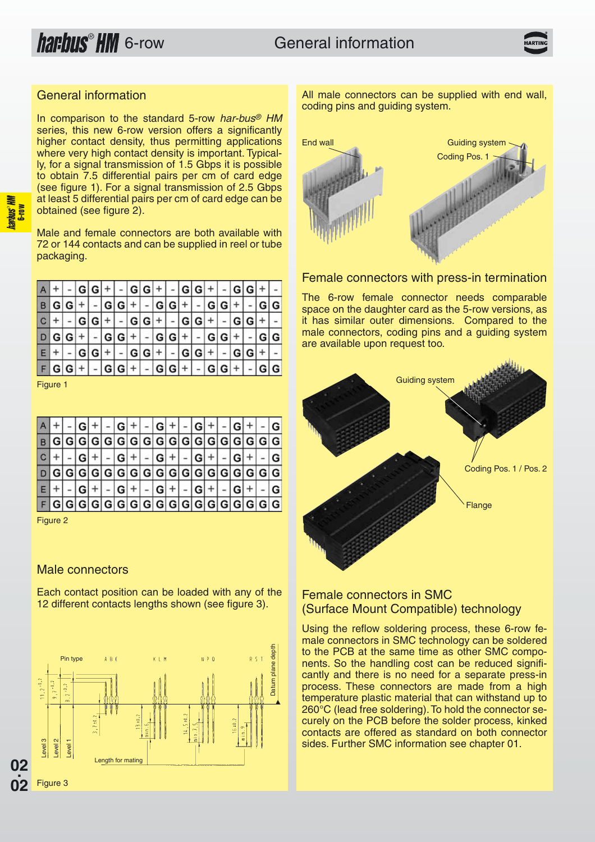#### <span id="page-1-0"></span>General information

In comparison to the standard 5-row har-bus<sup>®</sup> HM series, this new 6-row version offers a significantly higher contact density, thus permitting applications where very high contact density is important. Typically, for a signal transmission of 1.5 Gbps it is possible to obtain 7.5 differential pairs per cm of card edge (see figure 1). For a signal transmission of 2.5 Gbps at least 5 differential pairs per cm of card edge can be obtained (see figure 2).

Male and female connectors are both available with 72 or 144 contacts and can be supplied in reel or tube packaging.

|   |      |           | GIGI                                            |   |   | $- G G + $                  |                  |  | $- G G $       | $+$ |           |           |         |     |
|---|------|-----------|-------------------------------------------------|---|---|-----------------------------|------------------|--|----------------|-----|-----------|-----------|---------|-----|
| B | GIGI |           |                                                 | G | G |                             | $+  -  G G  +  $ |  | $\blacksquare$ |     | $G G +$   |           |         |     |
|   |      |           | $- G G + - G G + - G G + $                      |   |   |                             |                  |  |                |     |           | $ G G $ + |         |     |
|   |      |           | $ G G $ + $ G G $ + $ G G $ + $ G G $ + $ G G $ |   |   |                             |                  |  |                |     |           |           | $- G G$ |     |
|   |      |           | G G I                                           | ÷ |   | $  -  G G  +   -  G G  +  $ |                  |  |                |     |           | GIGI      |         |     |
|   |      | $G G +$ - |                                                 |   |   | $ G G  +  G G  +  G $       |                  |  |                |     | $ G G + $ |           |         | G G |

Figure 1

|                                           |  |  |      |         |  | $G + $   | $ G + $             |  |  |  |
|-------------------------------------------|--|--|------|---------|--|----------|---------------------|--|--|--|
|                                           |  |  |      |         |  |          |                     |  |  |  |
|                                           |  |  |      | $ G + $ |  | $G + $ - | $ G + $             |  |  |  |
|                                           |  |  |      |         |  |          |                     |  |  |  |
|                                           |  |  | l Gi | $^{+}$  |  |          | $ G  +   -  G  +  $ |  |  |  |
| $G G G G G G G G G G G G G G G G G G G G$ |  |  |      |         |  |          |                     |  |  |  |

Figure 2

### Male connectors

Each contact position can be loaded with any of the 12 different contacts lengths shown (see figure 3).



All male connectors can be supplied with end wall, coding pins and guiding system.



#### Female connectors with press-in termination

The 6-row female connector needs comparable space on the daughter card as the 5-row versions, as it has similar outer dimensions. Compared to the male connectors, coding pins and a guiding system are available upon request too.



#### Female connectors in SMC (Surface Mount Compatible) technology

Using the reflow soldering process, these 6-row female connectors in SMC technology can be soldered to the PCB at the same time as other SMC components. So the handling cost can be reduced significantly and there is no need for a separate press-in process. These connectors are made from a high temperature plastic material that can withstand up to 260°C (lead free soldering).To hold the connector securely on the PCB before the solder process, kinked contacts are offered as standard on both connector sides. Further SMC information see chapter 01.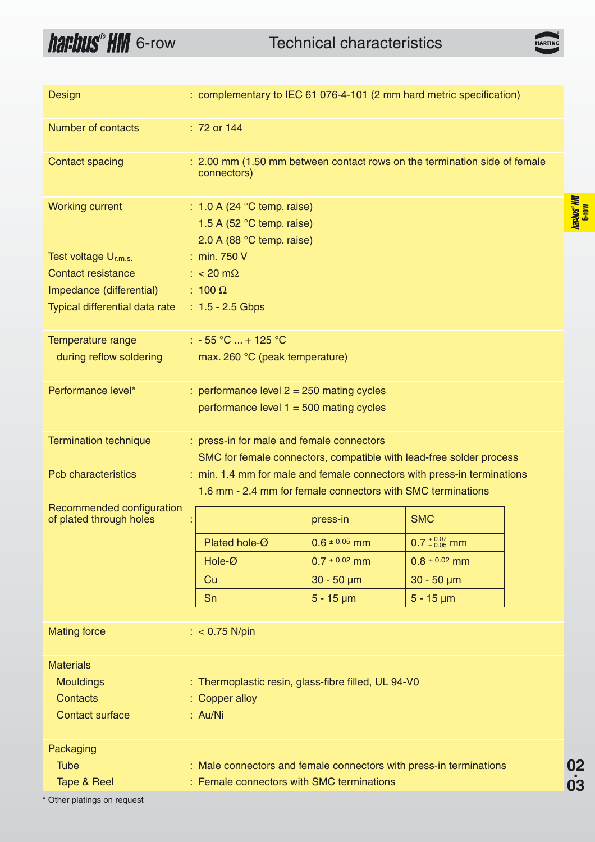## <span id="page-2-0"></span>**harbus<sup>®</sup> HM** 6-row **Technical characteristics**

**HARTII** 

**02.**

<u>をはらす</u><br>02<br>03

harbus<sup>®</sup> HM

| Design                                               | : complementary to IEC 61 076-4-101 (2 mm hard metric specification)                                             |                                                                                                                                        |                   |                          |  |  |  |  |  |  |  |
|------------------------------------------------------|------------------------------------------------------------------------------------------------------------------|----------------------------------------------------------------------------------------------------------------------------------------|-------------------|--------------------------|--|--|--|--|--|--|--|
| Number of contacts                                   |                                                                                                                  | : 72 or 144                                                                                                                            |                   |                          |  |  |  |  |  |  |  |
| <b>Contact spacing</b>                               |                                                                                                                  | : 2.00 mm (1.50 mm between contact rows on the termination side of female<br>connectors)                                               |                   |                          |  |  |  |  |  |  |  |
| <b>Working current</b>                               |                                                                                                                  | $: 1.0 A (24 °C$ temp. raise)<br>1.5 A (52 $\degree$ C temp. raise)<br>2.0 A (88 $^{\circ}$ C temp. raise)                             |                   |                          |  |  |  |  |  |  |  |
| Test voltage U <sub>r.m.s.</sub>                     |                                                                                                                  | : min. 750 V                                                                                                                           |                   |                          |  |  |  |  |  |  |  |
| Contact resistance                                   |                                                                                                                  | : $< 20 \text{ m}\Omega$                                                                                                               |                   |                          |  |  |  |  |  |  |  |
| Impedance (differential)                             |                                                                                                                  | : 100 $\Omega$                                                                                                                         |                   |                          |  |  |  |  |  |  |  |
| Typical differential data rate                       |                                                                                                                  | : $1.5 - 2.5$ Gbps                                                                                                                     |                   |                          |  |  |  |  |  |  |  |
| Temperature range                                    |                                                                                                                  | $: -55 °C  + 125 °C$                                                                                                                   |                   |                          |  |  |  |  |  |  |  |
| during reflow soldering                              |                                                                                                                  | max. 260 °C (peak temperature)                                                                                                         |                   |                          |  |  |  |  |  |  |  |
| Performance level*                                   |                                                                                                                  | : performance level $2 = 250$ mating cycles                                                                                            |                   |                          |  |  |  |  |  |  |  |
|                                                      |                                                                                                                  | performance level $1 = 500$ mating cycles                                                                                              |                   |                          |  |  |  |  |  |  |  |
| <b>Termination technique</b>                         | : press-in for male and female connectors<br>SMC for female connectors, compatible with lead-free solder process |                                                                                                                                        |                   |                          |  |  |  |  |  |  |  |
| <b>Pcb characteristics</b>                           |                                                                                                                  | : min. 1.4 mm for male and female connectors with press-in terminations<br>1.6 mm - 2.4 mm for female connectors with SMC terminations |                   |                          |  |  |  |  |  |  |  |
| Recommended configuration<br>of plated through holes |                                                                                                                  |                                                                                                                                        | press-in          | <b>SMC</b>               |  |  |  |  |  |  |  |
|                                                      |                                                                                                                  | Plated hole-Ø                                                                                                                          | $0.6 \pm 0.05$ mm | $0.7^{+0.07}_{-0.05}$ mm |  |  |  |  |  |  |  |
|                                                      |                                                                                                                  | Hole-Ø                                                                                                                                 | $0.7 \pm 0.02$ mm | $0.8 \pm 0.02$ mm        |  |  |  |  |  |  |  |
|                                                      |                                                                                                                  | Cu                                                                                                                                     | $30 - 50 \mu m$   | $30 - 50 \mu m$          |  |  |  |  |  |  |  |
|                                                      |                                                                                                                  | Sn                                                                                                                                     | $5 - 15 \mu m$    | $5 - 15 \mu m$           |  |  |  |  |  |  |  |
|                                                      |                                                                                                                  |                                                                                                                                        |                   |                          |  |  |  |  |  |  |  |
| <b>Mating force</b>                                  |                                                                                                                  | : $< 0.75$ N/pin                                                                                                                       |                   |                          |  |  |  |  |  |  |  |
| <b>Materials</b>                                     |                                                                                                                  |                                                                                                                                        |                   |                          |  |  |  |  |  |  |  |
| <b>Mouldings</b>                                     |                                                                                                                  | : Thermoplastic resin, glass-fibre filled, UL 94-V0                                                                                    |                   |                          |  |  |  |  |  |  |  |
| Contacts                                             |                                                                                                                  | : Copper alloy                                                                                                                         |                   |                          |  |  |  |  |  |  |  |
| <b>Contact surface</b>                               |                                                                                                                  | : Au/Ni                                                                                                                                |                   |                          |  |  |  |  |  |  |  |
| Packaging                                            |                                                                                                                  |                                                                                                                                        |                   |                          |  |  |  |  |  |  |  |
| <b>Tube</b>                                          |                                                                                                                  | : Male connectors and female connectors with press-in terminations                                                                     |                   |                          |  |  |  |  |  |  |  |
| Tape & Reel                                          |                                                                                                                  | : Female connectors with SMC terminations                                                                                              |                   |                          |  |  |  |  |  |  |  |
|                                                      |                                                                                                                  |                                                                                                                                        |                   |                          |  |  |  |  |  |  |  |

\* Other platings on request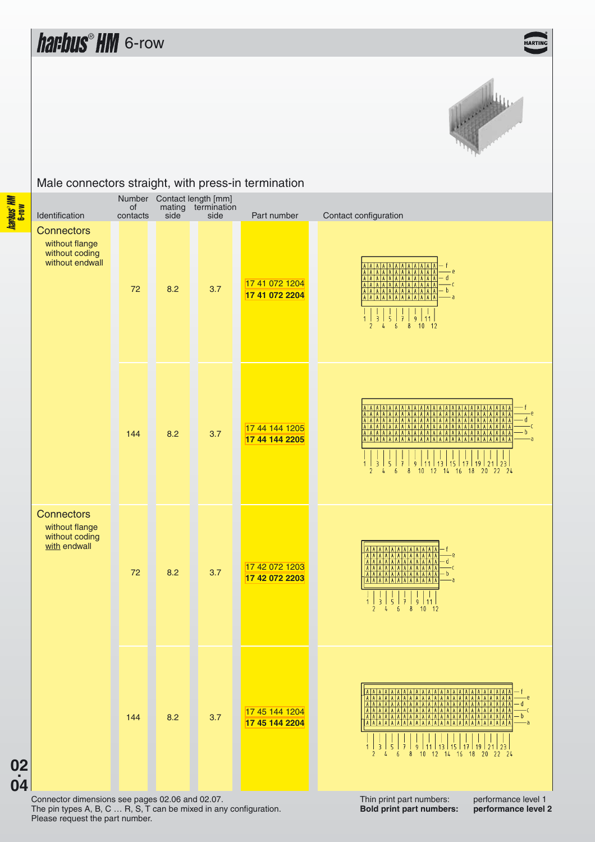### **IART**



#### <span id="page-3-0"></span>Male connectors straight, with press-in termination

Number Contact length [mm] of mating termination Identification contacts side side Part number Contact configuration **02**<br> **02**<br> **04 Connectors** without flange without coding without endwall 72 8.2 3.7 [17 41 072 1204](http://www.harkis.harting.com/cgi-win/sbhtml.dll?crq_qs?&search=17410721204language=e) b **[17 41 072 2204](http://www.harkis.harting.com/cgi-win/sbhtml.dll?crq_qs?&search=17410722204language=e)** 144 8.2 3.7 [17 44 144 1205](http://www.harkis.harting.com/cgi-win/sbhtml.dll?crq_qs?&search=17441441205language=e) **[17 44 144 2205](http://www.harkis.harting.com/cgi-win/sbhtml.dll?crq_qs?&search=17441442205language=e)**  $\frac{1}{9}$  $17119$  $15$ 5 | 13  $\frac{121}{2}$  $2<sup>3</sup>$  $10$  $12$  $14$  $16$  $18$  $20$  22 24  $\delta$ **Connectors** without flange without coding with endwall 72 8.2 3.7 [17 42 072 1203](http://www.harkis.harting.com/cgi-win/sbhtml.dll?crq_qs?&search=17420721203language=e) **[17 42 072 2203](http://www.harkis.harting.com/cgi-win/sbhtml.dll?crq_qs?&search=17420722203language=e)**  $\frac{1}{9}$  $11$  $\overline{z}$  $\overline{5}$ . A 144 8.2 3.7 [17 45 144 1204](http://www.harkis.harting.com/cgi-win/sbhtml.dll?crq_qs?&search=17451441204language=e) **[17 45 144 2204](http://www.harkis.harting.com/cgi-win/sbhtml.dll?crq_qs?&search=17451442204language=e)**  $13$  $15$  $19$  $12$  $18$ 

**02.**

Connector dimensions see pages 02.06 and 02.07. The pin types A, B, C … R, S, T can be mixed in any configuration. Please request the part number.

Thin print part numbers: performance level 1<br>Bold print part numbers: performance level 2 **Bold print part numbers:**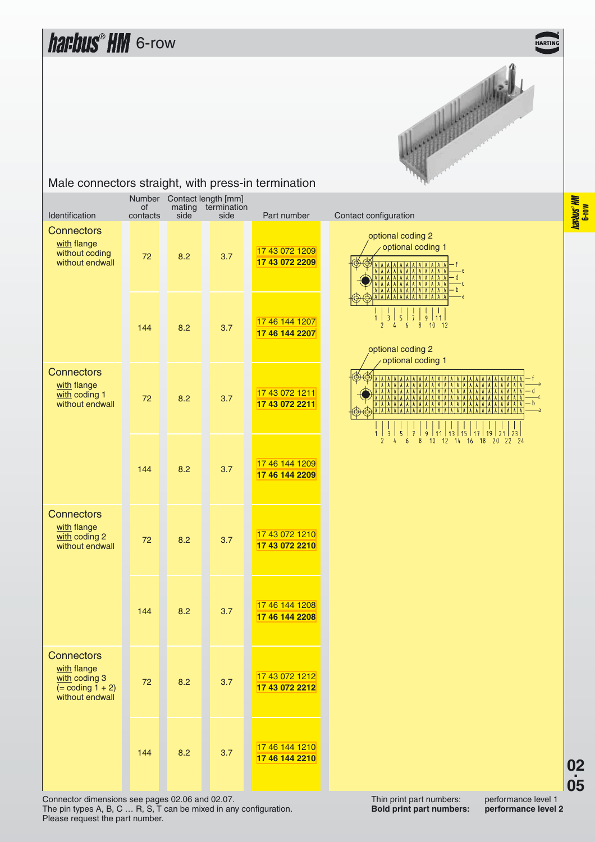

| Identification                                                                              | of<br>contacts | mating<br>side | Number Contact length [mm]<br>termination<br>side | Part number                      | Contact configuration                                                                      |
|---------------------------------------------------------------------------------------------|----------------|----------------|---------------------------------------------------|----------------------------------|--------------------------------------------------------------------------------------------|
| <b>Connectors</b><br>with flange<br>without coding<br>without endwall                       | 72             | 8.2            | 3.7                                               | 17 43 072 1209<br>17 43 072 2209 | optional codi<br>optional<br>AA<br>A A A A<br>AAAAA<br>A A A A A                           |
|                                                                                             | 144            | 8.2            | 3.7                                               | 17 46 144 1207<br>17 46 144 2207 | 2<br>6<br>4<br>optional codi<br>optional                                                   |
| <b>Connectors</b><br>with flange<br>with coding 1<br>without endwall                        | 72             | 8.2            | 3.7                                               | 17 43 072 1211<br>17 43 072 2211 | $A$ $A$ $A$<br><b>AAAAA</b><br>A A A<br>I A<br>$A$ $A$<br>AAA<br>A A A A A A<br> A A A A A |
|                                                                                             | 144            | 8.2            | 3.7                                               | 17 46 144 1209<br>17 46 144 2209 | $\overline{2}$<br>4<br>6                                                                   |
| <b>Connectors</b><br>with flange<br>with coding 2<br>without endwall                        | 72             | 8.2            | 3.7                                               | 17 43 072 1210<br>17 43 072 2210 |                                                                                            |
|                                                                                             | 144            | 8.2            | 3.7                                               | 17 46 144 1208<br>17 46 144 2208 |                                                                                            |
| <b>Connectors</b><br>with flange<br>with coding 3<br>$( = coding 1 + 2)$<br>without endwall | 72             | 8.2            | 3.7                                               | 17 43 072 1212<br>17 43 072 2212 |                                                                                            |
|                                                                                             | 144            | 8.2            | 3.7                                               | 17 46 144 1210<br>17 46 144 2210 |                                                                                            |

#### Male connectors straight, with press-in termination



optional coding 2 optional coding 1

Thin print part numbers: performance level 1<br>Bold print part numbers: performance level 2 **Bold print part numbers:** 

**02.**

Connector dimensions see pages 02.06 and 02.07. The pin types A, B, C … R, S, T can be mixed in any configuration. Please request the part number.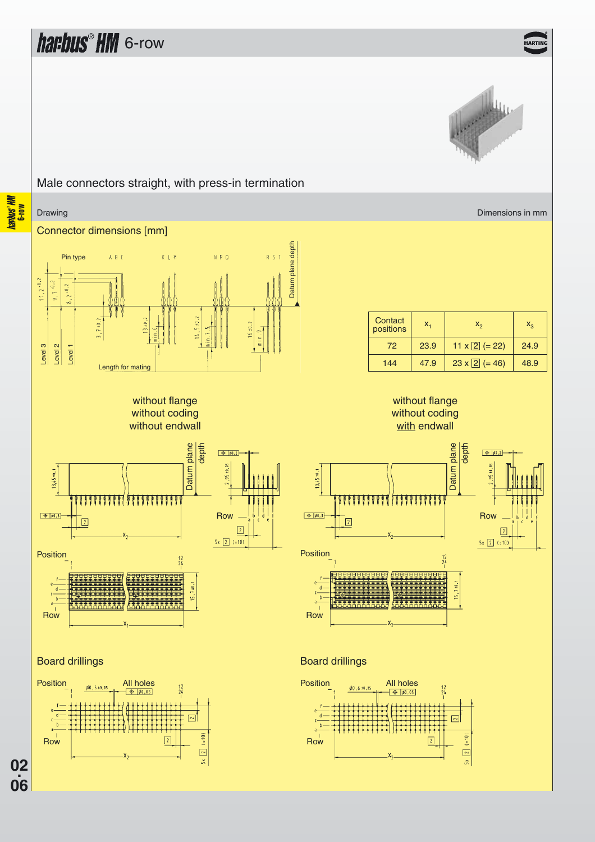HARTIP



### **harbus<sup>®</sup> HM**<br>6-row Drawing **Dimensions in mm** Dimensions in mm and the contract of the contract of the contract of the Dimensions in mm **02**<br>**06**<br>**06** Connector dimensions [mm] Datum plane depth Datum plane depth Pin type A B C K L M  $N$   $\circ$   $n$  $11,2^{\pm0.2}$  $9.7 \cdot 0.2$  $0.1$  $7 \pm 0.2$  $13 + 0.2$  $5 + 0.2$  $16 \pm 0.2$ ė Level 3 Level 2 Level 1 Length for mating without flange without coding without endwall

Male connectors straight, with press-in termination



### $72 \begin{array}{|c|c|c|c|c|c|c|c|} \hline 23.9 & 11 \times \boxed{2} & = 22 \end{array}$  24.9 144  $\begin{vmatrix} 47.9 & 23 \times 2 & = 46 \end{vmatrix}$  48.9 **Contact**  $\begin{array}{c|c}\n\text{Constant} & x_1 & x_2 & x_3\n\end{array}$





Position

13,45 ±0.1



#### Board drillings





**02.**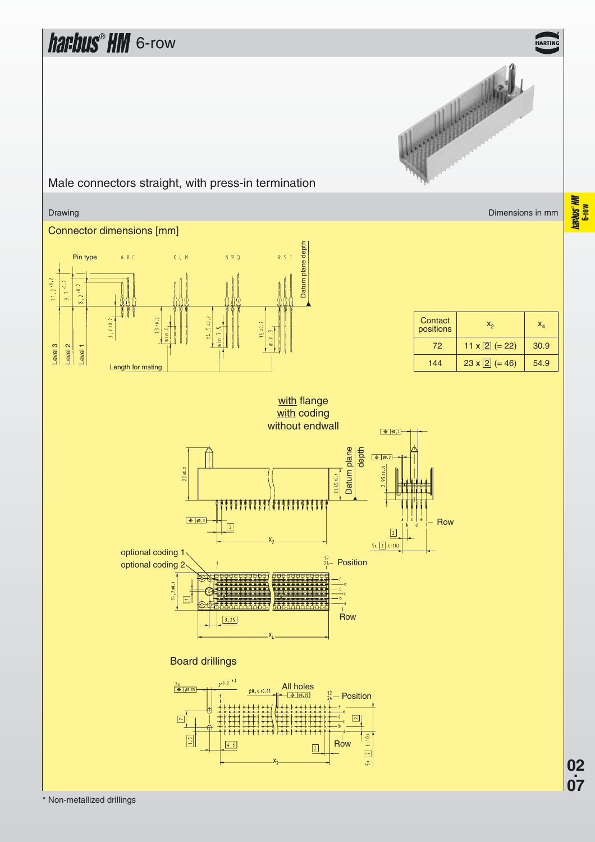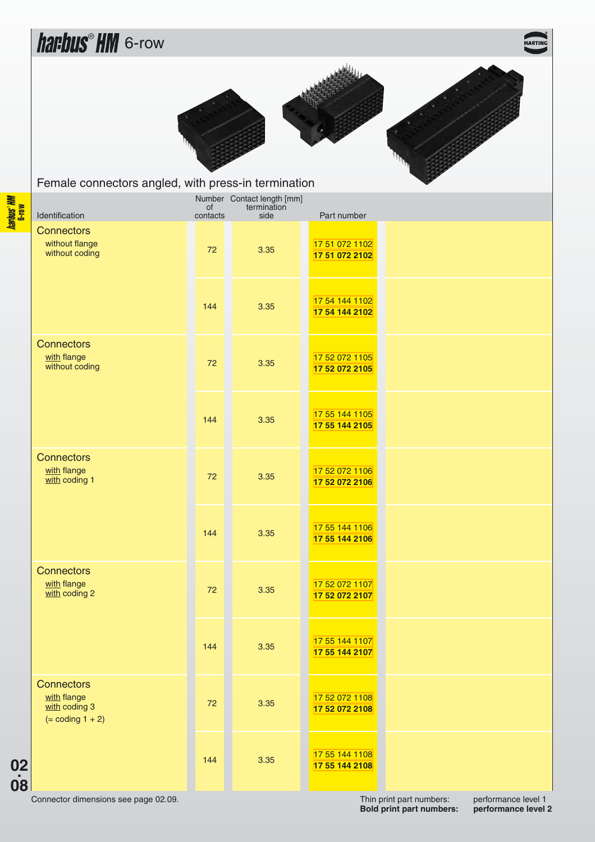<span id="page-7-0"></span>

| <u>renaio componero angloa, min proce in termination</u>                 |          |                                                      |                                  |  |
|--------------------------------------------------------------------------|----------|------------------------------------------------------|----------------------------------|--|
| Identification                                                           | contacts | Number Contact length [mm]<br>of termination<br>side | Part number                      |  |
| <b>Connectors</b><br>without flange<br>without coding                    | 72       | 3.35                                                 | 17 51 072 1102<br>17 51 072 2102 |  |
|                                                                          | 144      | 3.35                                                 | 17 54 144 1102<br>17 54 144 2102 |  |
| <b>Connectors</b><br>with flange<br>without coding                       | 72       | 3.35                                                 | 17 52 072 1105<br>17 52 072 2105 |  |
|                                                                          | 144      | 3.35                                                 | 17 55 144 1105<br>17 55 144 2105 |  |
| <b>Connectors</b><br>with flange<br>with coding 1                        | 72       | 3.35                                                 | 17 52 072 1106<br>17 52 072 2106 |  |
|                                                                          | 144      | 3.35                                                 | 17 55 144 1106<br>17 55 144 2106 |  |
| <b>Connectors</b><br>with flange<br>with coding 2                        | 72       | 3.35                                                 | 17 52 072 1107<br>17 52 072 2107 |  |
|                                                                          | 144      | 3.35                                                 | 17 55 144 1107<br>17 55 144 2107 |  |
| <b>Connectors</b><br>with flange<br>with coding 3<br>$( = coding 1 + 2)$ | 72       | 3.35                                                 | 17 52 072 1108<br>17 52 072 2108 |  |
|                                                                          | 144      | 3.35                                                 | 17 55 144 1108<br>17 55 144 2108 |  |

Connector dimensions see page 02.09.

**02.**

Thin print part numbers: performance level 1<br>Bold print part numbers: performance level 2 **Bold print part numbers:**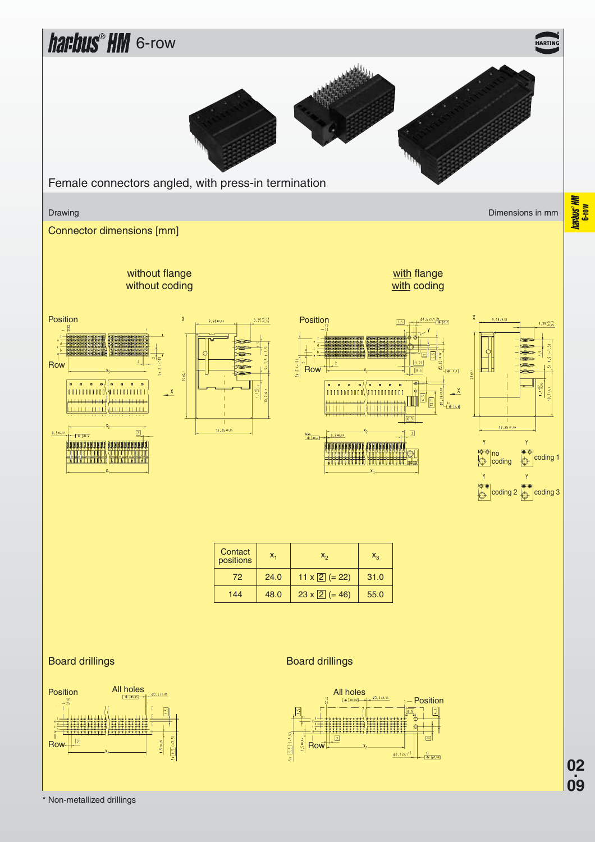

\* Non-metallized drillings

**09**

**Mol-g**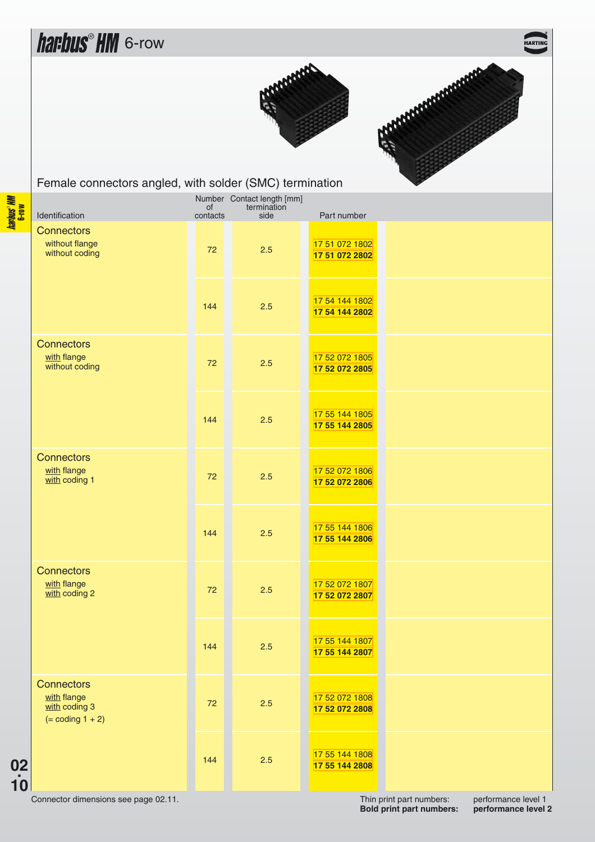**ARTI** 





<span id="page-9-0"></span>Female connectors angled, with solder (SMC) termination

| Identification                                                             | of<br>contacts | Number Contact length [mm]<br>termination<br>side | Part number                      |  |
|----------------------------------------------------------------------------|----------------|---------------------------------------------------|----------------------------------|--|
| <b>Connectors</b><br>without flange<br>without coding                      | 72             | 2.5                                               | 17 51 072 1802<br>17 51 072 2802 |  |
|                                                                            | 144            | 2.5                                               | 17 54 144 1802<br>17 54 144 2802 |  |
| <b>Connectors</b><br>with flange<br>without coding                         | 72             | 2.5                                               | 17 52 072 1805<br>17 52 072 2805 |  |
|                                                                            | 144            | 2.5                                               | 17 55 144 1805<br>17 55 144 2805 |  |
| <b>Connectors</b><br>with flange<br>with coding 1                          | 72             | 2.5                                               | 17 52 072 1806<br>17 52 072 2806 |  |
|                                                                            | 144            | 2.5                                               | 17 55 144 1806<br>17 55 144 2806 |  |
| <b>Connectors</b><br>with flange<br>with coding 2                          | 72             | 2.5                                               | 17 52 072 1807<br>17 52 072 2807 |  |
|                                                                            | 144            | 2.5                                               | 17 55 144 1807<br>17 55 144 2807 |  |
| <b>Connectors</b><br>with flange<br>$with$ coding 3<br>$( = coding 1 + 2)$ | 72             | 2.5                                               | 17 52 072 1808<br>17 52 072 2808 |  |
|                                                                            | 144            | 2.5                                               | 17 55 144 1808<br>17 55 144 2808 |  |

Connector dimensions see page 02.11.

**02.**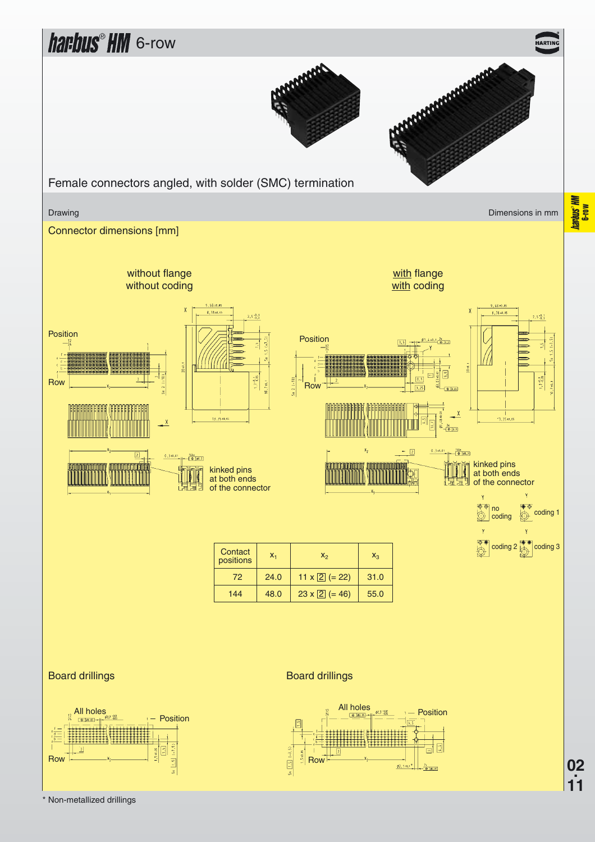

\* Non-metallized drillings

**02.**